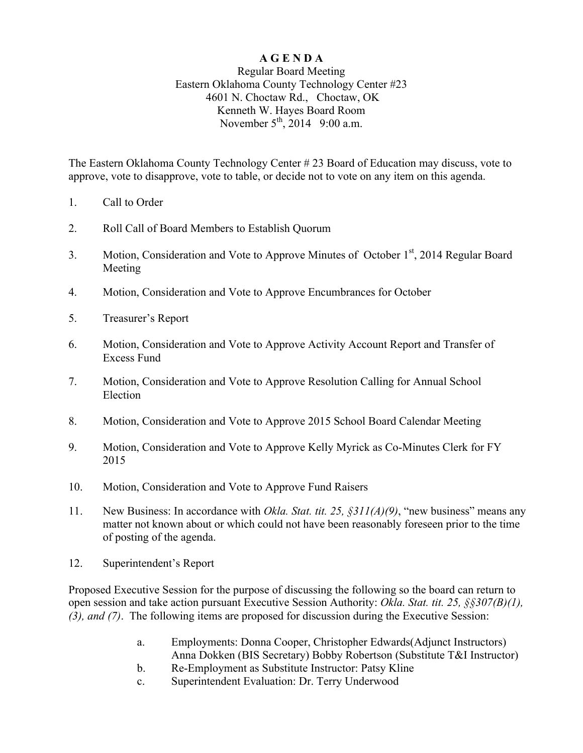## **A G E N D A**

## Regular Board Meeting Eastern Oklahoma County Technology Center #23 4601 N. Choctaw Rd., Choctaw, OK Kenneth W. Hayes Board Room November  $5^{th}$ , 2014 9:00 a.m.

The Eastern Oklahoma County Technology Center # 23 Board of Education may discuss, vote to approve, vote to disapprove, vote to table, or decide not to vote on any item on this agenda.

- 1. Call to Order
- 2. Roll Call of Board Members to Establish Quorum
- 3. Motion, Consideration and Vote to Approve Minutes of October 1<sup>st</sup>, 2014 Regular Board Meeting
- 4. Motion, Consideration and Vote to Approve Encumbrances for October
- 5. Treasurer's Report
- 6. Motion, Consideration and Vote to Approve Activity Account Report and Transfer of Excess Fund
- 7. Motion, Consideration and Vote to Approve Resolution Calling for Annual School Election
- 8. Motion, Consideration and Vote to Approve 2015 School Board Calendar Meeting
- 9. Motion, Consideration and Vote to Approve Kelly Myrick as Co-Minutes Clerk for FY 2015
- 10. Motion, Consideration and Vote to Approve Fund Raisers
- 11. New Business: In accordance with *Okla. Stat. tit. 25, §311(A)(9)*, "new business" means any matter not known about or which could not have been reasonably foreseen prior to the time of posting of the agenda.
- 12. Superintendent's Report

Proposed Executive Session for the purpose of discussing the following so the board can return to open session and take action pursuant Executive Session Authority: *Okla. Stat. tit. 25, §§307(B)(1), (3), and (7)*. The following items are proposed for discussion during the Executive Session:

- a. Employments: Donna Cooper, Christopher Edwards(Adjunct Instructors) Anna Dokken (BIS Secretary) Bobby Robertson (Substitute T&I Instructor)
- b. Re-Employment as Substitute Instructor: Patsy Kline
- c. Superintendent Evaluation: Dr. Terry Underwood